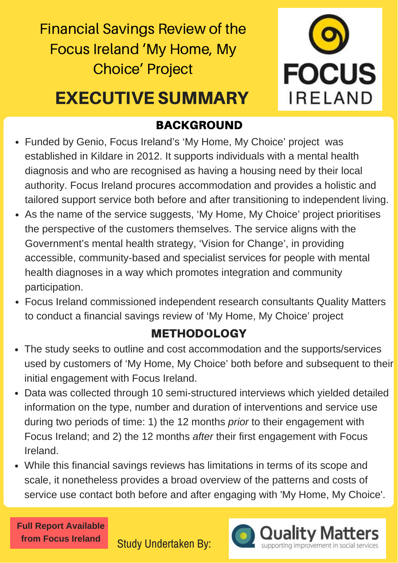Financial Savings Review of the Focus Ireland 'My Home, My Choice' Project



## EXECUTIVE SUMMARY

### BACKGROUND

- *September 2016* Funded by Genio, Focus Ireland's 'My Home, My Choice' project was established in Kildare in 2012. It supports individuals with a mental health diagnosis and who are recognised as having a housing need by their local authority. Focus Ireland procures accommodation and provides a holistic and tailored support service both before and after transitioning to independent living.
- Accessible, commanny-based and specialist services for people win mental<br>health diagnoses in a way which promotes integration and community<br>Focus Ireland commissioned independent research consultants Quality Matters • As the name of the service suggests, 'My Home, My Choice' project prioritises the perspective of the customers themselves. The service aligns with the Government's mental health strategy, 'Vision for Change', in providing accessible, community-based and specialist services for people with mental health diagnoses in a way which promotes integration and community participation.
- to conduct a financial savings review of 'My Home, My Choice' project

### METHODOLOGY

- a imancial savings review of My Home, My Choice projection<br> **METHODOLOGY**<br>
seeks to outline and cost accommodation and the supports of 'My Home, My Choice' both before and subset The study seeks to outline and cost accommodation and the supports/services used by customers of 'My Home, My Choice' both before and subsequent to their initial engagement with Focus Ireland.
- Data was collected through 10 semi-structured interviews which yielded detailed information on the type, number and duration of interventions and service use during two periods of time: 1) the 12 months *prior* to their engagement with Focus Ireland; and 2) the 12 months *after* their first engagement with Focus Ireland.
- While this financial savings reviews has limitations in terms of its scope and scale, it nonetheless provides a broad overview of the patterns and costs of service use contact both before and after engaging with 'My Home, My Choice'.



Study Undertaken By: